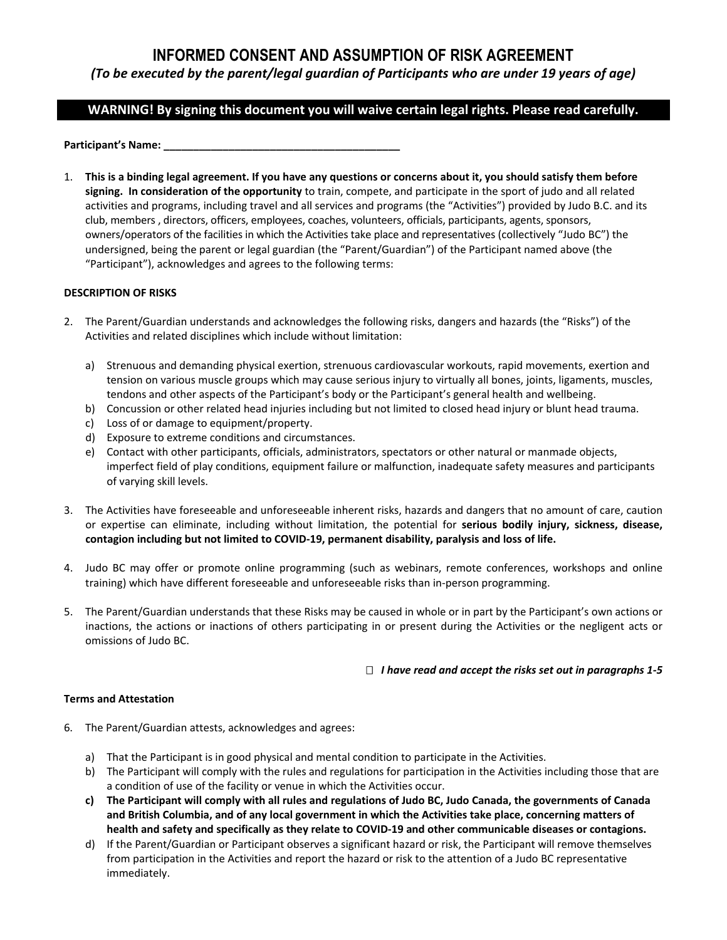# **INFORMED CONSENT AND ASSUMPTION OF RISK AGREEMENT**

### *(To be executed by the parent/legal guardian of Participants who are under 19 years of age)*

## **WARNING! By signing this document you will waive certain legal rights. Please read carefully.**

Participant's Name:

1. **This is a binding legal agreement. If you have any questions or concerns about it, you should satisfy them before signing. In consideration of the opportunity** to train, compete, and participate in the sport of judo and all related activities and programs, including travel and all services and programs (the "Activities") provided by Judo B.C. and its club, members , directors, officers, employees, coaches, volunteers, officials, participants, agents, sponsors, owners/operators of the facilities in which the Activities take place and representatives (collectively "Judo BC") the undersigned, being the parent or legal guardian (the "Parent/Guardian") of the Participant named above (the "Participant"), acknowledges and agrees to the following terms:

### **DESCRIPTION OF RISKS**

- 2. The Parent/Guardian understands and acknowledges the following risks, dangers and hazards (the "Risks") of the Activities and related disciplines which include without limitation:
	- a) Strenuous and demanding physical exertion, strenuous cardiovascular workouts, rapid movements, exertion and tension on various muscle groups which may cause serious injury to virtually all bones, joints, ligaments, muscles, tendons and other aspects of the Participant's body or the Participant's general health and wellbeing.
	- b) Concussion or other related head injuries including but not limited to closed head injury or blunt head trauma.
	- c) Loss of or damage to equipment/property.
	- d) Exposure to extreme conditions and circumstances.
	- e) Contact with other participants, officials, administrators, spectators or other natural or manmade objects, imperfect field of play conditions, equipment failure or malfunction, inadequate safety measures and participants of varying skill levels.
- 3. The Activities have foreseeable and unforeseeable inherent risks, hazards and dangers that no amount of care, caution or expertise can eliminate, including without limitation, the potential for **serious bodily injury, sickness, disease, contagion including but not limited to COVID-19, permanent disability, paralysis and loss of life.**
- 4. Judo BC may offer or promote online programming (such as webinars, remote conferences, workshops and online training) which have different foreseeable and unforeseeable risks than in-person programming.
- 5. The Parent/Guardian understands that these Risks may be caused in whole or in part by the Participant's own actions or inactions, the actions or inactions of others participating in or present during the Activities or the negligent acts or omissions of Judo BC.

### *I have read and accept the risks set out in paragraphs 1-5*

### **Terms and Attestation**

- 6. The Parent/Guardian attests, acknowledges and agrees:
	- a) That the Participant is in good physical and mental condition to participate in the Activities.
	- b) The Participant will comply with the rules and regulations for participation in the Activities including those that are a condition of use of the facility or venue in which the Activities occur.
	- **c) The Participant will comply with all rules and regulations of Judo BC, Judo Canada, the governments of Canada and British Columbia, and of any local government in which the Activities take place, concerning matters of health and safety and specifically as they relate to COVID-19 and other communicable diseases or contagions.**
	- d) If the Parent/Guardian or Participant observes a significant hazard or risk, the Participant will remove themselves from participation in the Activities and report the hazard or risk to the attention of a Judo BC representative immediately.